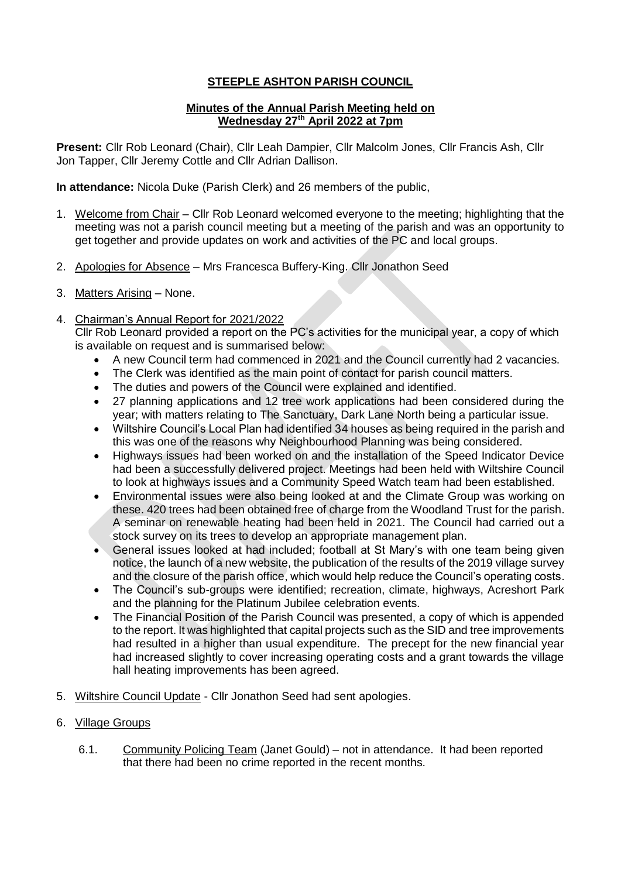## **STEEPLE ASHTON PARISH COUNCIL**

## **Minutes of the Annual Parish Meeting held on Wednesday 27th April 2022 at 7pm**

**Present:** Cllr Rob Leonard (Chair), Cllr Leah Dampier, Cllr Malcolm Jones, Cllr Francis Ash, Cllr Jon Tapper, Cllr Jeremy Cottle and Cllr Adrian Dallison.

**In attendance:** Nicola Duke (Parish Clerk) and 26 members of the public,

- 1. Welcome from Chair Cllr Rob Leonard welcomed everyone to the meeting; highlighting that the meeting was not a parish council meeting but a meeting of the parish and was an opportunity to get together and provide updates on work and activities of the PC and local groups.
- 2. Apologies for Absence Mrs Francesca Buffery-King. Cllr Jonathon Seed
- 3. Matters Arising None.
- 4. Chairman's Annual Report for 2021/2022

Cllr Rob Leonard provided a report on the PC's activities for the municipal year, a copy of which is available on request and is summarised below:

- A new Council term had commenced in 2021 and the Council currently had 2 vacancies.
- The Clerk was identified as the main point of contact for parish council matters.
- The duties and powers of the Council were explained and identified.
- 27 planning applications and 12 tree work applications had been considered during the year; with matters relating to The Sanctuary, Dark Lane North being a particular issue.
- Wiltshire Council's Local Plan had identified 34 houses as being required in the parish and this was one of the reasons why Neighbourhood Planning was being considered.
- Highways issues had been worked on and the installation of the Speed Indicator Device had been a successfully delivered project. Meetings had been held with Wiltshire Council to look at highways issues and a Community Speed Watch team had been established.
- Environmental issues were also being looked at and the Climate Group was working on these. 420 trees had been obtained free of charge from the Woodland Trust for the parish. A seminar on renewable heating had been held in 2021. The Council had carried out a stock survey on its trees to develop an appropriate management plan.
- General issues looked at had included; football at St Mary's with one team being given notice, the launch of a new website, the publication of the results of the 2019 village survey and the closure of the parish office, which would help reduce the Council's operating costs.
- The Council's sub-groups were identified; recreation, climate, highways, Acreshort Park and the planning for the Platinum Jubilee celebration events.
- The Financial Position of the Parish Council was presented, a copy of which is appended to the report. It was highlighted that capital projects such as the SID and tree improvements had resulted in a higher than usual expenditure. The precept for the new financial year had increased slightly to cover increasing operating costs and a grant towards the village hall heating improvements has been agreed.
- 5. Wiltshire Council Update Cllr Jonathon Seed had sent apologies.
- 6. Village Groups
	- 6.1. Community Policing Team (Janet Gould) not in attendance. It had been reported that there had been no crime reported in the recent months.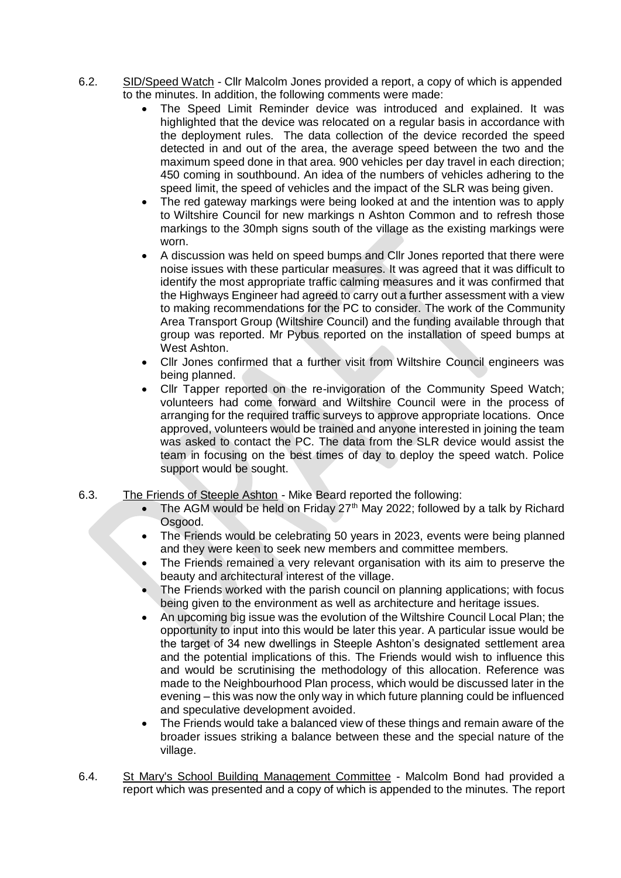- 6.2. SID/Speed Watch Cllr Malcolm Jones provided a report, a copy of which is appended to the minutes. In addition, the following comments were made:
	- The Speed Limit Reminder device was introduced and explained. It was highlighted that the device was relocated on a regular basis in accordance with the deployment rules. The data collection of the device recorded the speed detected in and out of the area, the average speed between the two and the maximum speed done in that area. 900 vehicles per day travel in each direction; 450 coming in southbound. An idea of the numbers of vehicles adhering to the speed limit, the speed of vehicles and the impact of the SLR was being given.
	- The red gateway markings were being looked at and the intention was to apply to Wiltshire Council for new markings n Ashton Common and to refresh those markings to the 30mph signs south of the village as the existing markings were worn.
	- A discussion was held on speed bumps and Cllr Jones reported that there were noise issues with these particular measures. It was agreed that it was difficult to identify the most appropriate traffic calming measures and it was confirmed that the Highways Engineer had agreed to carry out a further assessment with a view to making recommendations for the PC to consider. The work of the Community Area Transport Group (Wiltshire Council) and the funding available through that group was reported. Mr Pybus reported on the installation of speed bumps at West Ashton.
	- Cllr Jones confirmed that a further visit from Wiltshire Council engineers was being planned.
	- Cllr Tapper reported on the re-invigoration of the Community Speed Watch; volunteers had come forward and Wiltshire Council were in the process of arranging for the required traffic surveys to approve appropriate locations. Once approved, volunteers would be trained and anyone interested in joining the team was asked to contact the PC. The data from the SLR device would assist the team in focusing on the best times of day to deploy the speed watch. Police support would be sought.
- 6.3. The Friends of Steeple Ashton Mike Beard reported the following:
	- The AGM would be held on Friday  $27<sup>th</sup>$  May 2022; followed by a talk by Richard Osgood.
	- The Friends would be celebrating 50 years in 2023, events were being planned and they were keen to seek new members and committee members.
	- The Friends remained a very relevant organisation with its aim to preserve the beauty and architectural interest of the village.
	- The Friends worked with the parish council on planning applications; with focus being given to the environment as well as architecture and heritage issues.
	- An upcoming big issue was the evolution of the Wiltshire Council Local Plan; the opportunity to input into this would be later this year. A particular issue would be the target of 34 new dwellings in Steeple Ashton's designated settlement area and the potential implications of this. The Friends would wish to influence this and would be scrutinising the methodology of this allocation. Reference was made to the Neighbourhood Plan process, which would be discussed later in the evening – this was now the only way in which future planning could be influenced and speculative development avoided.
	- The Friends would take a balanced view of these things and remain aware of the broader issues striking a balance between these and the special nature of the village.
- 6.4. St Mary's School Building Management Committee Malcolm Bond had provided a report which was presented and a copy of which is appended to the minutes. The report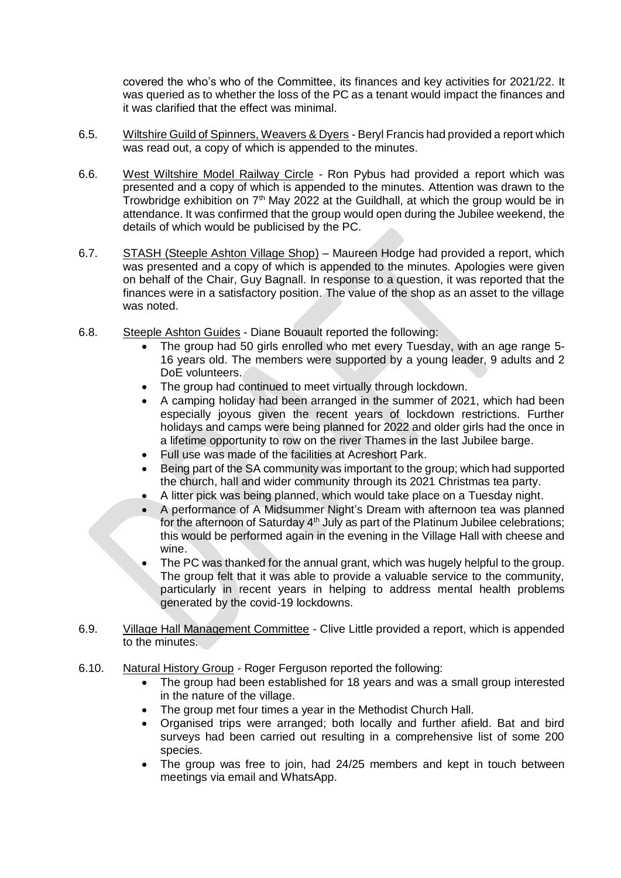covered the who's who of the Committee, its finances and key activities for 2021/22. It was queried as to whether the loss of the PC as a tenant would impact the finances and it was clarified that the effect was minimal.

- 6.5. Wiltshire Guild of Spinners, Weavers & Dyers Beryl Francis had provided a report which was read out, a copy of which is appended to the minutes.
- 6.6. West Wiltshire Model Railway Circle Ron Pybus had provided a report which was presented and a copy of which is appended to the minutes. Attention was drawn to the Trowbridge exhibition on  $7<sup>th</sup>$  May 2022 at the Guildhall, at which the group would be in attendance. It was confirmed that the group would open during the Jubilee weekend, the details of which would be publicised by the PC.
- 6.7. STASH (Steeple Ashton Village Shop) Maureen Hodge had provided a report, which was presented and a copy of which is appended to the minutes. Apologies were given on behalf of the Chair, Guy Bagnall. In response to a question, it was reported that the finances were in a satisfactory position. The value of the shop as an asset to the village was noted.
- 6.8. Steeple Ashton Guides Diane Bouault reported the following:
	- The group had 50 girls enrolled who met every Tuesday, with an age range 5- 16 years old. The members were supported by a young leader, 9 adults and 2 DoE volunteers.
	- The group had continued to meet virtually through lockdown.
	- A camping holiday had been arranged in the summer of 2021, which had been especially joyous given the recent years of lockdown restrictions. Further holidays and camps were being planned for 2022 and older girls had the once in a lifetime opportunity to row on the river Thames in the last Jubilee barge.
	- Full use was made of the facilities at Acreshort Park.
	- Being part of the SA community was important to the group; which had supported the church, hall and wider community through its 2021 Christmas tea party.
	- A litter pick was being planned, which would take place on a Tuesday night.
	- A performance of A Midsummer Night's Dream with afternoon tea was planned for the afternoon of Saturday  $4<sup>th</sup>$  July as part of the Platinum Jubilee celebrations; this would be performed again in the evening in the Village Hall with cheese and wine.
	- The PC was thanked for the annual grant, which was hugely helpful to the group. The group felt that it was able to provide a valuable service to the community, particularly in recent years in helping to address mental health problems generated by the covid-19 lockdowns.
- 6.9. Village Hall Management Committee Clive Little provided a report, which is appended to the minutes.
- 6.10. Natural History Group Roger Ferguson reported the following:
	- The group had been established for 18 years and was a small group interested in the nature of the village.
	- The group met four times a year in the Methodist Church Hall.
	- Organised trips were arranged; both locally and further afield. Bat and bird surveys had been carried out resulting in a comprehensive list of some 200 species.
	- The group was free to join, had 24/25 members and kept in touch between meetings via email and WhatsApp.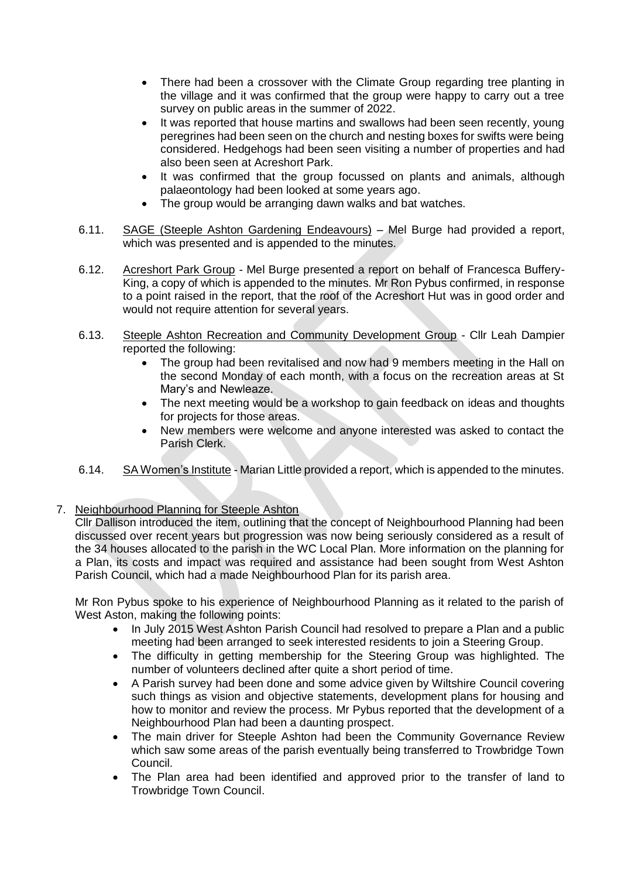- There had been a crossover with the Climate Group regarding tree planting in the village and it was confirmed that the group were happy to carry out a tree survey on public areas in the summer of 2022.
- It was reported that house martins and swallows had been seen recently, young peregrines had been seen on the church and nesting boxes for swifts were being considered. Hedgehogs had been seen visiting a number of properties and had also been seen at Acreshort Park.
- It was confirmed that the group focussed on plants and animals, although palaeontology had been looked at some years ago.
- The group would be arranging dawn walks and bat watches.
- 6.11. SAGE (Steeple Ashton Gardening Endeavours) Mel Burge had provided a report, which was presented and is appended to the minutes.
- 6.12. Acreshort Park Group Mel Burge presented a report on behalf of Francesca Buffery-King, a copy of which is appended to the minutes. Mr Ron Pybus confirmed, in response to a point raised in the report, that the roof of the Acreshort Hut was in good order and would not require attention for several years.
- 6.13. Steeple Ashton Recreation and Community Development Group Cllr Leah Dampier reported the following:
	- The group had been revitalised and now had 9 members meeting in the Hall on the second Monday of each month, with a focus on the recreation areas at St Mary's and Newleaze.
	- The next meeting would be a workshop to gain feedback on ideas and thoughts for projects for those areas.
	- New members were welcome and anyone interested was asked to contact the Parish Clerk.
- 6.14. SA Women's Institute Marian Little provided a report, which is appended to the minutes.
- 7. Neighbourhood Planning for Steeple Ashton

Cllr Dallison introduced the item, outlining that the concept of Neighbourhood Planning had been discussed over recent years but progression was now being seriously considered as a result of the 34 houses allocated to the parish in the WC Local Plan. More information on the planning for a Plan, its costs and impact was required and assistance had been sought from West Ashton Parish Council, which had a made Neighbourhood Plan for its parish area.

Mr Ron Pybus spoke to his experience of Neighbourhood Planning as it related to the parish of West Aston, making the following points:

- In July 2015 West Ashton Parish Council had resolved to prepare a Plan and a public meeting had been arranged to seek interested residents to join a Steering Group.
- The difficulty in getting membership for the Steering Group was highlighted. The number of volunteers declined after quite a short period of time.
- A Parish survey had been done and some advice given by Wiltshire Council covering such things as vision and objective statements, development plans for housing and how to monitor and review the process. Mr Pybus reported that the development of a Neighbourhood Plan had been a daunting prospect.
- The main driver for Steeple Ashton had been the Community Governance Review which saw some areas of the parish eventually being transferred to Trowbridge Town Council.
- The Plan area had been identified and approved prior to the transfer of land to Trowbridge Town Council.